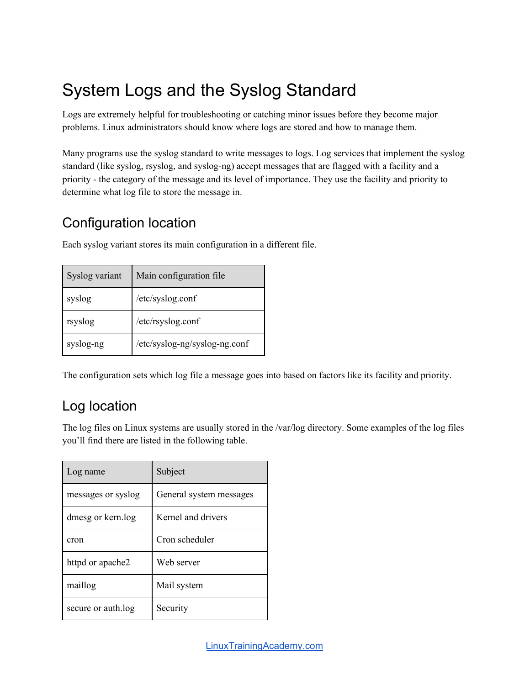# System Logs and the Syslog Standard

Logs are extremely helpful for troubleshooting or catching minor issues before they become major problems. Linux administrators should know where logs are stored and how to manage them.

Many programs use the syslog standard to write messages to logs. Log services that implement the syslog standard (like syslog, rsyslog, and syslog-ng) accept messages that are flagged with a facility and a priority - the category of the message and its level of importance. They use the facility and priority to determine what log file to store the message in.

### Configuration location

Each syslog variant stores its main configuration in a different file.

| Syslog variant | Main configuration file       |
|----------------|-------------------------------|
| syslog         | /etc/syslog.conf              |
| rsyslog        | /etc/rsyslog.conf             |
| syslog-ng      | /etc/syslog-ng/syslog-ng.conf |

The configuration sets which log file a message goes into based on factors like its facility and priority.

# Log location

The log files on Linux systems are usually stored in the /var/log directory. Some examples of the log files you'll find there are listed in the following table.

| Log name           | Subject                 |
|--------------------|-------------------------|
| messages or syslog | General system messages |
| dmesg or kern.log  | Kernel and drivers      |
| cron               | Cron scheduler          |
| httpd or apache2   | Web server              |
| maillog            | Mail system             |
| secure or auth.log | Security                |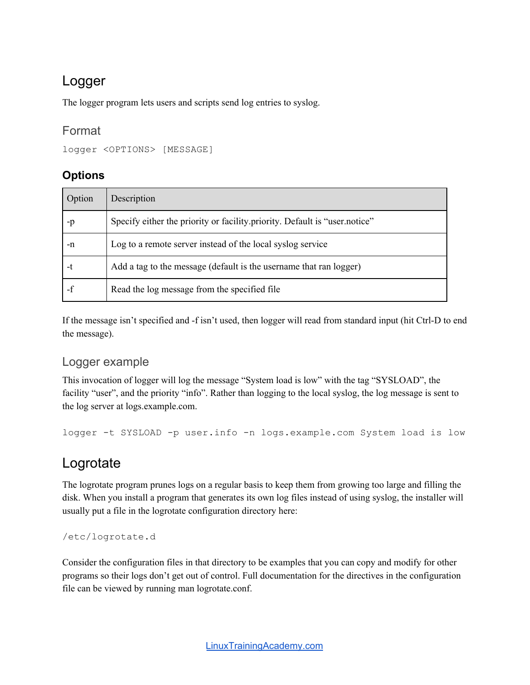### Logger

The logger program lets users and scripts send log entries to syslog.

#### Format

```
logger <OPTIONS> [MESSAGE]
```
#### **Options**

| Option | Description                                                                |
|--------|----------------------------------------------------------------------------|
| -p     | Specify either the priority or facility priority. Default is "user notice" |
| -n     | Log to a remote server instead of the local syslog service                 |
| -t     | Add a tag to the message (default is the username that ran logger)         |
|        | Read the log message from the specified file                               |

If the message isn't specified and -f isn't used, then logger will read from standard input (hit Ctrl-D to end the message).

#### Logger example

This invocation of logger will log the message "System load is low" with the tag "SYSLOAD", the facility "user", and the priority "info". Rather than logging to the local syslog, the log message is sent to the log server at logs.example.com.

logger -t SYSLOAD -p user.info -n logs.example.com System load is low

### Logrotate

The logrotate program prunes logs on a regular basis to keep them from growing too large and filling the disk. When you install a program that generates its own log files instead of using syslog, the installer will usually put a file in the logrotate configuration directory here:

/etc/logrotate.d

Consider the configuration files in that directory to be examples that you can copy and modify for other programs so their logs don't get out of control. Full documentation for the directives in the configuration file can be viewed by running man logrotate.conf.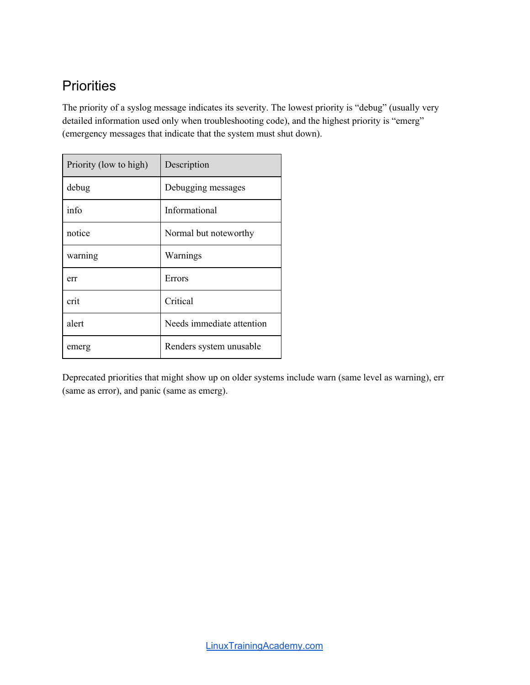## **Priorities**

The priority of a syslog message indicates its severity. The lowest priority is "debug" (usually very detailed information used only when troubleshooting code), and the highest priority is "emerg" (emergency messages that indicate that the system must shut down).

| Priority (low to high) | Description               |
|------------------------|---------------------------|
| debug                  | Debugging messages        |
| info                   | Informational             |
| notice                 | Normal but noteworthy     |
| warning                | Warnings                  |
| err                    | Errors                    |
| crit                   | Critical                  |
| alert                  | Needs immediate attention |
| emerg                  | Renders system unusable   |

Deprecated priorities that might show up on older systems include warn (same level as warning), err (same as error), and panic (same as emerg).